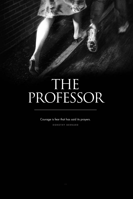## THE PROFESSOR

Courage is fear that has said its prayers.

DOROTHY BERNARD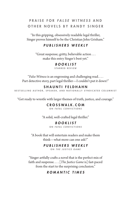#### PRAISE FOR FALSE WITNESS AND OTHER NOVELS BY RANDY SINGER

"In this gripping, obsessively readable legal thriller, Singer proves himself to be the Christian John Grisham."

#### *PUBLISHERS WEEKLY*

"Great suspense; gritty, believable action . . . make this entry Singer's best yet."

*BOOKLIST*

STARRED REVIEW

"*False Witness* is an engrossing and challenging read. . . . Part detective story, part legal thriller—I couldn't put it down!"

#### SHAUNTI FELDHAHN

BESTSELLING AUTHOR, SPEAKER, AND NATIONALLY SYNDICATED COLUMNIST

"Get ready to wrestle with larger themes of truth, justice, and courage."

#### C R O S S W A L K . C O M

ON *FATAL CONVICTIONS*

"A solid, well-crafted legal thriller."

#### *BOOKLIST*

ON *FATAL CONVICTIONS*

"A book that will entertain readers and make them think—what more can one ask?"

*PUBLISHERS WEEKLY*

ON *THE JUSTICE GAME*

"Singer artfully crafts a novel that is the perfect mix of faith and suspense. . . . [*The Justice Game* is] fast-paced from the start to the surprising conclusion."

#### *ROMANTIC TIMES*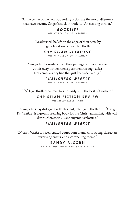"At the center of the heart-pounding action are the moral dilemmas that have become Singer's stock-in-trade. . . . An exciting thriller."

#### *BOOKLIST*

ON *BY REASON OF INSANITY*

"Readers will be left on the edge of their seats by Singer's latest suspense-filled thriller."

> *CHRISTIAN RETAILING* ON *BY REASON OF INSANITY*

"Singer hooks readers from the opening courtroom scene of this tasty thriller, then spurs them through a fast trot across a story line that just keeps delivering."

> *PUBLISHERS WEEKLY* ON *BY REASON OF INSANITY*

"[A] legal thriller that matches up easily with the best of Grisham."

#### CHRISTIAN FICTION REVIEW

ON *IRREPARABLE HARM*

"Singer hits pay dirt again with this taut, intelligent thriller. . . . [*Dying Declaration*] is a groundbreaking book for the Christian market, with welldrawn characters . . . and ingenious plotting."

#### *PUBLISHERS WEEKLY*

"*Directed Verdict* is a well-crafted courtroom drama with strong characters, surprising twists, and a compelling theme."

#### RANDY ALCORN

BESTSELLING AUTHOR OF *SAFELY HOME*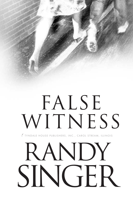## FALSE WITNESS

 $\ell$  tyndale house publishers, Inc., carol stream, illinois

# RANDY SINGER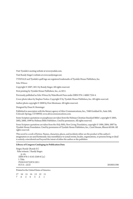Visit Tyndale's exciting website at www.tyndale.com.

Visit Randy Singer's website at www.randysinger.net.

*TYNDALE* and Tyndale's quill logo are registered trademarks of Tyndale House Publishers, Inc.

*False Witness*

Copyright © 2007, 2011 by Randy Singer. All rights reserved.

First printing by Tyndale House Publishers, Inc., in 2011.

Previously published as *False Witness* by WaterBrook Press under ISBN 978-1-4000-7334-4.

Cover photo taken by Stephen Vosloo. Copyright © by Tyndale House Publishers, Inc. All rights reserved.

Author photo copyright © 2008 by Don Monteaux. All rights reserved.

Designed by Dean H. Renninger

Published in association with the literary agency of Alive Communications, Inc., 7680 Goddard St., Suite 200, Colorado Springs, CO 80920, www.alivecommunications.com.

Some Scripture quotations or paraphrases are taken from the Holman Christian Standard Bible®, copyright © 2003, 2002, 2000, 1999 by Holman Bible Publishers. Used by permission. All rights reserved.

Some Scripture quotations are taken from the *Holy Bible*, New Living Translation, copyright © 1996, 2004, 2007 by Tyndale House Foundation. Used by permission of Tyndale House Publishers, Inc., Carol Stream, Illinois 60188. All rights reserved.

This novel is a work of fiction. Names, characters, places, and incidents either are the product of the author's imagination or are used fictitiously. Any resemblance to actual events, locales, organizations, or persons living or dead is entirely coincidental and beyond the intent of either the author or the publisher.

#### **Library of Congress Cataloging-in-Publication Data**

```
Singer, Randy (Randy D.)
  False witness / Randy Singer.
    p. cm.
 ISBN 978-1-4143-3569-8 (sc)
 I. Title. 
 PS3619.I5725F35 2011
 813'.6—dc22 2010051598 2010051598
```
Printed in the United States of America

```
17 16 15 14 13 12 11
7  6 5 4 3 2 1
```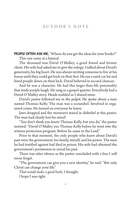#### AU THOR'S NOTE

PEOPLE OFTEN ASK ME, "Where do you get the ideas for your books?" This one came at a funeral.

The deceased was David O'Malley, a good friend and former client. His wife had asked me to give the eulogy. I talked about David's generosity, his big heart. He was always inviting someone to live at his house until they could get back on their feet. He ran a used-car lot and hired people down on their luck. David believed in second chances.

And he was a character. He had this larger-than-life personality that made people laugh. He sang in a gospel quartet. Everybody had a David O'Malley story. Heads nodded as I shared mine.

David's pastor followed me in the pulpit. He spoke about a man named Thomas Kelly. The man was a scoundrel. Involved in organized crime. He turned on everyone he knew.

Jaws dropped and the mourners stared in disbelief at this pastor. The man had clearly lost his mind!

"You don't think you know Thomas Kelly, but you do," the pastor insisted. "David O'Malley *was* Thomas Kelly before he went into the witness protection program. Before he came to the Lord."

Prior to that moment, the only people who knew about David's past were the government, his family, myself, and his pastor. The men he had testified against had died in prison. His wife had obtained the government's permission to reveal his past.

There was utter silence as the pastor concluded with a line I will never forget.

"The government can give you a new identity," he said. "But only Christ can change your life."

*That would make a good book,* I thought.

I hope I was right.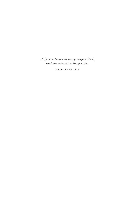*A false witness will not go unpunished, and one who utters lies perishes.*

PROVERBS 19:9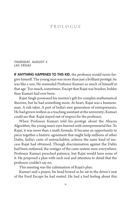#### PROLOGUE

#### *THURSDAY, AUGUST 5 LAS VEGAS*

IF ANYTHING HAPPENED TO THIS KID, the professor would never forgive himself. The young man was more than just a brilliant protégé; he was like a son. He reminded Professor Kumari so much of himself at that age. Too much, sometimes. Except that Rajat was brasher, bolder than Kumari had ever been.

Rajat Singh possessed his mentor's gift for complex mathematical theories, but he had something more. At heart, Rajat was a businessman. A risk taker. A part of India's new generation of entrepreneurs. He had grown restless as a teaching assistant at the university; Kumari could see that. Rajat stayed out of respect for the professor.

When Professor Kumari told his protégé about the Abacus Algorithm, the young man's eyes burned with entrepreneurial fire. To Rajat, it was more than a math formula. It became an opportunity to piece together a historic agreement that might help millions of other Dalits, India's caste of untouchables, achieve the same kind of success Rajat had obtained. Though discrimination against the Dalits had been outlawed, the vestiges of the caste system were everywhere. Professor Kumari preached patience, but Rajat would have none of it. He proposed a plan with such zeal and attention to detail that the professor couldn't say no.

This meeting was the culmination of Rajat's plan.

Kumari said a prayer, his head bowed as he sat in the driver's seat of the Ford Escape he had rented. He had a bad feeling about this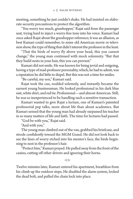meeting, something he just couldn't shake. He had insisted on elaborate security precautions to protect the algorithm.

"You worry too much, grasshopper," Rajat said from the passenger seat, trying hard to inject a worry-free tone into his voice. Kumari had once asked Rajat about the grasshopper reference; it was an allusion, as best Kumari could remember, to some old American movie or television show, the type of thing that didn't interest the professor in the least.

"That the birds of worry fly above your head, this you cannot change," the young man continued with mock solemnity. "But that they build nests in your hair, this you can prevent."

Kumari did not smile. He was known for being jovial and outgoing, having a type of mad-professor personality, which, he had to admit, was a reputation he did little to dispel. But this was not a time for smiles.

"Be careful, my son," Kumari said.

Rajat took the cue, nodded solemnly, and instantly became the earnest young businessman. He looked professional in his dark blue suit, white shirt, and red tie. Professional—and almost American. Still, he was so inexperienced to be handling such a sensitive transaction.

Kumari wanted to give Rajat a lecture, one of Kumari's patented professorial pep talks, more about life than about academics. But Kumari sensed that the young man had already surpassed his teacher in so many matters of life and faith. The time for lectures had passed.

"God be with you," Rajat said.

"And with you."

The young man climbed out of the van, grabbed his briefcase, and strode confidently toward the MGM Grand. He did not look back to see the lines of worry etched into his mentor's face, the birds beginning to nest in the professor's hair.

"Protect him," Kumari prayed. He pulled away from the front of the casino, cutting off other drivers and ignoring their horns.

◁▷

Twelve minutes later, Kumari entered his apartment, breathless from his climb up the outdoor steps. He disabled the alarm system, locked the dead bolt, and pulled the chain lock into place.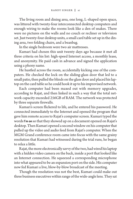The living room and dining area, one long, L-shaped open space, was littered with twenty-four interconnected desktop computers and enough wiring to make the rooms look like a den of snakes. There were no pictures on the walls and no couch or recliner or television set. Just twenty-four desktop units, a small card table set up in the dining area, two folding chairs, and a beanbag.

In the single bedroom were two air mattresses.

Kumari had chosen this unit twenty days ago because it met all three criteria on his list: high-speed Internet access, a monthly lease, and anonymity. He paid cash in advance and signed the application using a phony name.

He hustled across the room, accidentally kicking one of the computers. He checked the lock on the sliding-glass door that led to a small patio, then pulled the blinds on the glass door and placed his laptop on the card table so he could hook it up to his improvised network.

Each computer had been maxed out with memory upgrades, according to Rajat, and then linked in such a way that the total network capacity exceeded 256GB of RAM. The network was protected by three separate firewalls.

Kumari's screen flickered to life, and he entered his password. He connected immediately to the Internet and opened the program that gave him remote access to Rajat's computer screen. Kumari typed the words I'm on so that they showed up on a document opened on Rajat's desktop. Then Kumari opened a second window on his computer that pulled up the video and audio feed from Rajat's computer. When the MGM Grand conference room came into focus with the same grainy resolution that Kumari had witnessed during the trial runs, he began to relax a little.

Rajat, the more electronically savvy of the two, had wired his laptop with a hidden video camera on the back, inside a port that looked like an Internet connection. He squeezed a corresponding microphone into what appeared to be an expansion port on the side. His computer now fed Kumari a live, blow-by-blow broadcast of the meeting.

Though the resolution was not the best, Kumari could make out three business executives within range of the wide-angle lens. They sat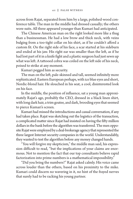across from Rajat, separated from him by a large, polished-wood conference table. The man in the middle had dressed casually; the others wore suits. All three appeared younger than Kumari had anticipated.

The Chinese American man on the right looked more like a thug than a businessman. He had a low brow and thick neck, with veins bulging from a too-tight collar on his shirt, as if he couldn't afford a custom fit. On the right side of his face, a scar started at his sideburn and ended at his jaw. His right ear was smaller than the left, as if he had lost part of it in a knife fight and a plastic surgeon had just sewn up what was left. A tattooed cobra was coiled on the left side of his neck, poised to strike at any moment.

Kumari pegged him as security.

The man on the left, pale-skinned and tall, seemed infinitely more sophisticated. Eastern European perhaps, with ice blue eyes and short, Nordic-blond hair. He slouched in his seat, a cool, disinterested look on his face.

In the middle, the position of influence, sat a young man approximately Rajat's age, probably the CEO, dressed in a black linen shirt, with long dark hair, a trim goatee, and dark, brooding eyes that seemed to pierce Kumari's screen.

Kumari had missed the introductions and casual conversation, if any had taken place. Rajat was sketching out the logistics of the transaction, a complicated matter since Rajat had insisted on having the fifty million dollars in the bank before the algorithm was transferred. The men opposite Rajat were employed by a deal-brokerage agency that represented the three largest Internet security companies in the world. Understandably, they wanted to test the algorithm before any money changed hands.

"You will forgive my skepticism," the middle man said, his expression difficult to read, "but the implications of your claims are enormous. Not to mention the fact that our top consultants believe rapid factorization into prime numbers is a mathematical impossibility."

"Did you bring the numbers?" Rajat asked calmly. His voice came across louder than the others, based on his proximity to the mike. Kumari could discern no wavering in it, no hint of the frayed nerves that surely had to be racking his young partner.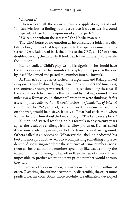"Of course."

"Then we can talk theory or we can talk application," Rajat said. "I mean, why bother finding out the true facts if we can just sit around and speculate based on the opinions of your experts?"

"We can do without the sarcasm," the Nordic man said.

The CEO betrayed no emotion as he consulted a folder. He dictated a long number that Rajat typed into the open document on his screen. Next, Rajat read back the digits to the CEO, all 197 of them, double-checking them slowly. It took nearly two minutes just to verify the number.

Kumari smiled. Child's play. Using his algorithm, he should have the answer in less than five minutes. His laptop could process this one by itself. He copied and pasted the number into his formula.

As Kumari's computer crunched the algorithm and Rajat plunked away on his own keyboard, plugging in phony numbers and functions, the conference room grew remarkably quiet, tension filling the air, as if the executives didn't dare jinx this moment by making a sound. From miles away, Kumari could almost tell what they were thinking: *If this works—if this* really *works—it would destroy the foundation of Internet encryption.* The RSA protocol, used extensively to secure transactions on the web, would be a sieve. It was, as Rajat had exclaimed when Kumari first told him about the breakthrough, "The key to every lock!"

Kumari had started working on his formula nearly twenty years ago as the result of a challenge from a fellow professor. Kumari called it a serious academic pursuit, a scholar's desire to break new ground. Others called it an obsession. Whatever the label, he dedicated his best and most productive years to accomplishing something unprecedented: discovering an order in the sequence of prime numbers. Most theorists believed that the numbers sprang up like weeds among the natural numbers, obeying no law other than the law of chance. It was impossible to predict where the next prime number would sprout, they said.

But where others saw chaos, Kumari saw the faintest outline of order. Over time, the outline became more discernible, the order more predictable, his convictions more resolute. He ultimately developed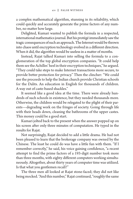a complex mathematical algorithm, stunning in its reliability, which could quickly and accurately generate the prime factors of any number, no matter how large.

Delighted, Kumari wanted to publish the formula in a respected, international mathematics journal. But his protégé immediately saw the tragic consequences of such an approach. The Internet would be thrown into chaos until encryption technology evolved in a different direction. When it did, the algorithm would be useless in a matter of months.

Instead, Rajat talked Kumari into selling the formula to a conglomeration of the top global encryption companies. "It could help them see the Achilles' heel in their encryption techniques," he argued. "They could take steps to make Internet transactions more secure, to provide better protection for privacy." Then the clincher: "We could use the proceeds to help the Indian church provide Christian schools for the Dalits. An education in English for thousands of children. A way out of caste-based shackles."

It seemed like a good idea at the time. There were already hundreds of such schools in existence, but they needed thousands more. Otherwise, the children would be relegated to the plight of their parents—degrading work on the fringes of society. Going through life with their heads down, cleaning the bathrooms of the upper castes. This money could be a good start.

Kumari jolted back to the present when the answer popped up on his screen after only three minutes of computation. He typed in the results for Rajat.

Not surprisingly, Rajat decided to add a little drama. He had not been pleased to learn that the brokerage company was owned by the Chinese. The least he could do was have a little fun with them. "If I remember correctly," he said, his voice gaining confidence, "a recent attempt to find the prime factors of a 193-digit number took more than three months, with eighty different computers working simultaneously. Altogether, about thirty years of computer time was utilized. Is that what you gentlemen recall?"

The three men all looked at Rajat stone-faced; they did not like being mocked. "And this number," Rajat continued, "roughly the same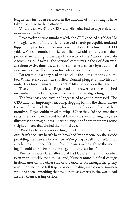length, has just been factored in the amount of time it might have taken you to go to the bathroom."

"And the answer?" the CEO said. His voice had an aggressive, nononsense edge to it.

Rajat read the prime numbers while the CEO checked his folder. He shot a glance to his Nordic friend, received a barely perceptible nod, and flipped the page to another enormous number. "This time," the CEO said, "we'll use a number the size our clients would typically use in their protocol. According to the deputy director of the National Security Agency, it should take all the personal computers in the world on average about twelve times the age of the universe to solve it by a traditional sieve method. We'll see if your formula can do it in a few minutes."

For ten minutes, they read and checked the digits of the new number. When everybody was satisfied, Kumari plugged it into his formula. This time, Kumari put his entire little network on the task.

Twelve minutes later, Rajat read the answer to the astonished men—two prime factors, each over two hundred digits long.

The business executives no longer tried to act unimpressed. The CEO called an impromptu meeting, stepping behind the chairs, where the men formed a little huddle, holding their folders in front of their mouths so Rajat couldn't read their lips. When they slid back into their seats, the Nordic man eyed Rajat the way a spectator might eye an illusionist at a magic show—scrutinizing, confident there was some sleight of hand that eluded the normal eye.

"We'd like to try one more thing," the CEO said, "just to prove our own firm's security hasn't been breached by someone on the inside providing the answers in advance. We're going to call a consultant for another test number, different from the ones we brought to this meeting. It could take a few minutes to get this one last beta."

Twenty minutes later, after Rajat had factored the third number even more quickly than the second, Kumari noticed a final change in demeanor on the other side of the table. Even through the grainy resolution, he could tell Rajat was now dealing with converts—men who had seen something that the foremost experts in the world had assured them was impossible.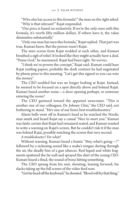"Who else has access to this formula?" the man on the right asked. "Why is that relevant?" Rajat responded.

"Our price is based on exclusivity. If we're the only ones with this formula, it's worth fifty million dollars. If others have it, the value diminishes substantially."

"Only one man has seen this formula," Rajat replied. That part was true, Kumari knew. But the person wasn't Rajat.

The men across from Rajat nodded at each other, and Kumari breathed a sigh of relief. It looked like they might actually have a deal. "Praise God," he murmured. Rajat had been right. *No worries.*

"I think we've proven the concept," Rajat said. Kumari could hear Rajat rustling papers, probably the draft contract he had negotiated by phone prior to this meeting. "Let's get this signed so you can wire the money."

The CEO nodded but was no longer looking at Rajat. Instead, he seemed to be focused on a spot directly above and behind Rajat. Kumari heard another noise—a door opening perhaps, or someone entering the room?

The CEO gestured toward the apparent newcomer. "This is another one of our colleagues, Dr. Johnny Chin," the CEO said, not bothering to stand. "He's one of our firm's best troubleshooters."

Alarm bells went off in Kumari's head as he watched the Nordic man smirk and heard Rajat say a casual "Nice to meet you." Kumari was fairly certain that Rajat had remained seated, and Kumari wanted to write a warning on Rajat's screen. But he couldn't risk it if the man was behind Rajat, possibly watching the screen that very second.

*A troubleshooter? For what?*

Without warning, Kumari heard a frantic "Hey, what's going—?" followed by a sickening sound like a snake's tongue darting through the air, the deadly hiss of a gun silencer. Red liquid and white fragments spattered the far wall and sprayed the shirt of the young CEO. Kumari heard a thud, the sound of bone hitting something.

The CEO sprang from his seat, shouting, leaning forward, his slacks taking up the full screen of the video feed now.

"Get his head off the keyboard," he shouted. "Blood will fry that thing."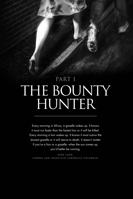### PART I THE BOUNTY HUNTER

Every morning in Africa, a gazelle wakes up. It knows it must run faster than the fastest lion or it will be killed. Every morning a lion wakes up. It knows it must outrun the slowest gazelle or it will starve to death. It doesn't matter if you're a lion or a gazelle: when the sun comes up, you'd better be running.

HERB CAEN, FORMER *SAN FRANCISCO CHRONICLE* COLUMNIST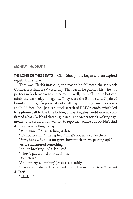## 1

*MONDAY, AUGUST 9*

**THE LONGEST THREE DAYS** of Clark Shealy's life began with an expired registration sticker.

That was Clark's first clue, the reason he followed the jet-black Cadillac Escalade ESV yesterday. The reason he phoned his wife, his partner in both marriage and crime . . . well, not really crime but certainly the dark edge of legality. They were the Bonnie and Clyde of bounty hunters, of repo artists, of anything requiring sham credentials and bold-faced lies. Jessica's quick search of DMV records, which led to a phone call to the title holder, a Los Angeles credit union, confirmed what Clark had already guessed. The owner wasn't making payments. The credit union wanted to repo the vehicle but couldn't find it. They were willing to pay.

"How much?" Clark asked Jessica.

"It's not worth it," she replied. "That's not why you're there."

"Sure, honey. But just for grins, how much are we passing up?" Jessica murmured something.

"You're breaking up," Clark said.

"They'd pay a third of Blue Book."

"Which is?"

"About forty-eight four," Jessica said softly.

"Love you, babe," Clark replied, doing the math. *Sixteen thousand dollars!*

"Clark—"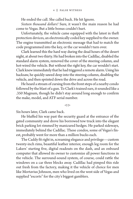He ended the call. She called back. He hit Ignore.

*Sixteen thousand dollars!* Sure, it wasn't the main reason he had come to Vegas. But a little bonus couldn't hurt.

Unfortunately, the vehicle came equipped with the latest in theft protection devices, an electronically coded key supplied to the owner. The engine transmitted an electronic message that had to match the code programmed into the key, or the car wouldn't turn over.

Clark learned this the hard way during the dead hours of the desert night, at about two thirty. He had broken into the Cadillac, disabled the standard alarm system, removed the cover of the steering column, and hot-wired the vehicle. But without the right key, the car wouldn't start. Clark knew immediately that he had triggered a remote alarm. Using his hacksaw, he quickly sawed deep into the steering column, disabling the vehicle, and then sprinted down the drive and across the road.

He heard a stream of cursing from the front steps of a nearby condo followed by the blast of a gun. To Clark's trained ears, it sounded like a .350 Magnum, though he didn't stay around long enough to confirm the make, model, and ATF serial number.

◁▷

Six hours later, Clark came back.

He bluffed his way past the security guard at the entrance of the gated community and drove his borrowed tow truck into the elegant brick parking lot rimmed by manicured hedges. He parked sideways, immediately behind the Cadillac. These condos, some of Vegas's finest, probably went for more than a million bucks each.

The Caddy fit right in, screaming elegance and privilege—custom twenty-inch rims, beautiful leather interior, enough leg room for the Lakers' starting five, digital readouts on the dash, and an onboard computer that allowed its owner to customize all power functions in the vehicle. The surround-sound system, of course, could rattle the windows on a car three blocks away. Cadillac had pimped this ride out fresh from the factory, making it the vehicle of choice for men like Mortavius Johnson, men who lived on the west side of Vegas and supplied "escorts" for the city's biggest gamblers.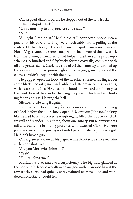Clark speed-dialed 1 before he stepped out of the tow truck. "This is stupid, Clark."

"Good morning to you, too. Are you ready?" " $N_0$ "

"All right. Let's do it." He slid the still-connected phone into a pocket of his coveralls. They were noticeably short, pulling at the crotch. He had bought the outfit on the spot from a mechanic at North Vegas Auto, the same garage where he borrowed the tow truck from the owner, a friend who had helped Clark in some prior repo schemes. A hundred and fifty bucks for the coveralls, complete with oil and grease stains. Clark had ripped off the name tag and rolled up the sleeves. It felt like junior high all over again, growing so fast the clothes couldn't keep up with the boy.

He popped open the hood of the wrecker, smeared his fingers on some blackened oil grime, and rubbed a little grease on his forearms, with a dab to his face. He closed the hood and walked confidently to the front door of the condo, checking the paper in his hand as if looking for an address. He rang the bell.

Silence.... He rang it again.

Eventually, he heard heavy footsteps inside and then the clicking of a lock before the door slowly opened. Mortavius Johnson, looking like he had barely survived a rough night, filled the doorway. Clark was tall and slender—six-three, about one-ninety. But Mortavius was tall and bulky—a brooding presence who dwarfed Clark. He wore jeans and no shirt, exposing rock-solid pecs but also a good-size gut. He didn't have a gun.

Clark glanced down at his paper while Mortavius surveyed him with bloodshot eyes.

"Are you Mortavius Johnson?"

"Yeah."

"You call for a tow?"

Mortavius's eyes narrowed suspiciously. The big man glanced at the pocket of Clark's coveralls—no insignia—then around him at the tow truck. Clark had quickly spray-painted over the logo and wondered if Mortavius could tell.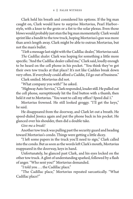Clark held his breath and considered his options. If the big man caught on, Clark would have to surprise Mortavius, Pearl Harbor– style, with a knee to the groin or a fist to the solar plexus. Even those blows would probably just stun the big man momentarily. Clark would sprint like a bandit to the tow truck, hoping Mortavius's gun was more than arm's length away. Clark might be able to outrun Mortavius, but not the man's bullet.

"I left a message last night with the Cadillac dealer," Mortavius said.

*The Cadillac dealer.* Clark was hoping for something a little more specific. "And the Cadillac dealer called me," Clark said, loudly enough to be heard on the cell phone in his pocket. "You think they've got their own tow trucks at that place? It's not like Caddies break down very often. If everybody could afford a Caddie, I'd go out of business."

Clark smiled. Mortavius did not.

"What company you with?" he asked.

"Highway Auto Service," Clark responded, louder still. He pulled out the cell phone, surreptitiously hit the End button with a thumb, then held it out to Mortavius. "You want to call my office? Speed dial 1."

Mortavius frowned. He still looked groggy. "I'll get the keys," he said.

He disappeared from the doorway, and Clark let out a breath. He speed-dialed Jessica again and put the phone back in his pocket. He glanced over his shoulder, then did a double take.

*Give me a break!*

Another tow truck was pulling past the security guard and heading toward Mortavius's condo. Things were getting a little dicey.

"I left some papers in the truck you'll need to sign," Clark called into the condo. But as soon as the words left Clark's mouth, Mortavius reappeared in the doorway, keys in hand.

Unfortunately, he glanced past Clark, and his eyes locked on the other tow truck. A glint of understanding sparked, followed by a flash of anger. "Who sent you?" Mortavius demanded.

"I told you . . . the Cadillac place."

"The Cadillac place," Mortavius repeated sarcastically. "What Cadillac place?"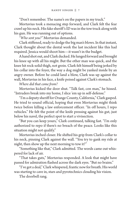"Don't remember. The name's on the papers in my truck."

Mortavius took a menacing step forward, and Clark felt the fear crawl up his neck. His fake sheriff 's ID was in the tow truck along with his gun. He was running out of options.

*"Who sent you?"* Mortavius demanded.

Clark stiffened, ready to dodge the big man's blows. In that instant, Clark thought about the dental work the last incident like this had required. Jessica would shoot him—it wasn't in the budget.

A hand shot out, and Clark ducked. He lunged forward and brought his knee up with all his might. But the other man was quick, and the knee hit rock-solid thigh, not groin. Clark felt himself being jerked by his collar into the foyer, the way a dog might be yanked inside by an angry owner. Before he could land a blow, Clark was up against the wall, Mortavius in his face, a knife poised against Clark's stomach.

#### *Where did that come from?*

Mortavius kicked the door shut. "Talk fast, con man," he hissed. "Intruders break into my home, I slice 'em up in self-defense."

"I'm a deputy sheriff for Orange County, California," Clark gasped. He tried to sound official, hoping that even Mortavius might think twice before killing a law enforcement officer. "In off hours, I repo vehicles." He felt the point of the knife pressing against his gut, just below his navel, the perfect spot to start a vivisection.

"But you can keep yours," Clark continued, talking fast. "I'm only authorized to repo if there's no breach of the peace. Looks like this situation might not qualify."

Mortavius inched closer. He shifted his grip from Clark's collar to his neck, pinning Clark against the wall. "You try to gank my ride at night, then show up the next morning to tow it?"

"Something like that," Clark admitted. The words came out whispered for lack of air.

"That takes guts," Mortavius responded. A look that might have passed for admiration flashed across the dark eyes. "But no brains."

"I've got a deal," Clark whispered, frantic now for breath. His world was starting to cave in, stars and pyrotechnics clouding his vision.

The doorbell rang.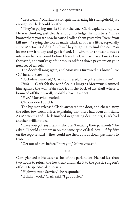"Let's hear it," Mortavius said quietly, relaxing his stranglehold just enough so Clark could breathe.

"They're paying me six Gs for the car," Clark explained rapidly. He was thinking just clearly enough to fudge the numbers. "They know where you are now because I called them yesterday. Even if you kill me—" saying the words made Clark shudder a little, especially since Mortavius didn't flinch—"they're going to find the car. You let me tow it today and get it fixed. I'll wire four thousand bucks into your bank account before I leave the Cadillac place. I make two thousand, and you've got four thousand for a down payment on your next set of wheels."

The doorbell rang again, and Mortavius furrowed his brow. "Five Gs," he said, scowling.

"Forty-five hundred," Clark countered, "I've got a wife and—"

*Ughh . . .* Clark felt the wind flee his lungs as Mortavius slammed him against the wall. Pain shot from the back of his skull where it bounced off the drywall, probably leaving a dent.

"Five," Mortavius snarled.

Clark nodded quickly.

The big man released Clark, answered the door, and chased away the other tow truck driver, explaining that there had been a mistake. As Mortavius and Clark finished negotiating deal points, Clark had another brilliant idea.

"Have you got any friends who aren't making their payments?" he asked. "I could cut them in on the same type of deal. Say . . . fifty-fifty on the repo reward—they could use their cuts as down payments to trade up."

"Get out of here before I hurt you," Mortavius said.

◁▷

Clark glanced at his watch as he left the parking lot. He had less than two hours to return the tow truck and make it to the plastic surgeon's office. He speed-dialed Jessica.

"Highway Auto Service," she responded.

"It didn't work," Clark said. "I got busted."